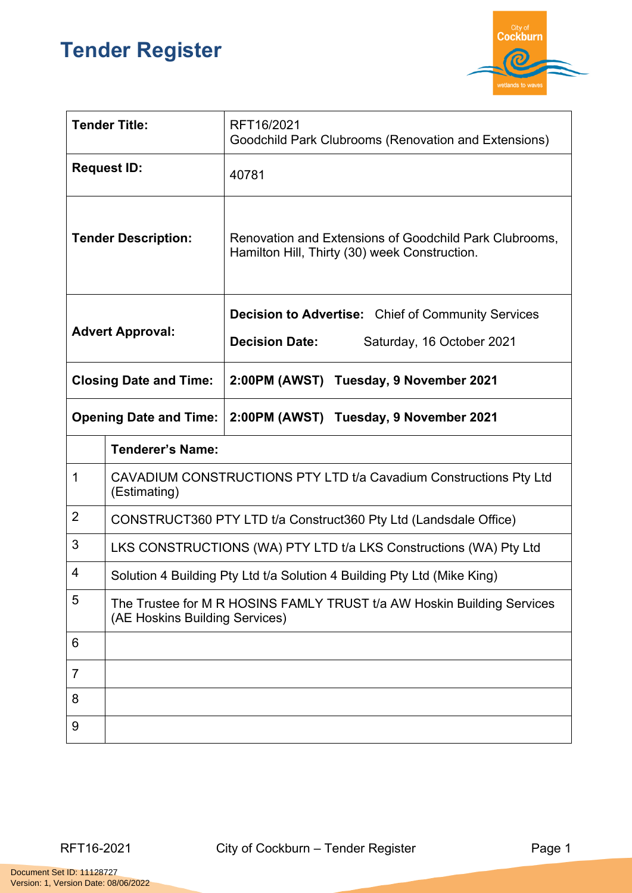## **Tender Register**



| <b>Tender Title:</b>          |                                                                                                          | RFT16/2021<br>Goodchild Park Clubrooms (Renovation and Extensions)                                              |  |
|-------------------------------|----------------------------------------------------------------------------------------------------------|-----------------------------------------------------------------------------------------------------------------|--|
| <b>Request ID:</b>            |                                                                                                          | 40781                                                                                                           |  |
| <b>Tender Description:</b>    |                                                                                                          | Renovation and Extensions of Goodchild Park Clubrooms,<br>Hamilton Hill, Thirty (30) week Construction.         |  |
| <b>Advert Approval:</b>       |                                                                                                          | <b>Decision to Advertise:</b> Chief of Community Services<br><b>Decision Date:</b><br>Saturday, 16 October 2021 |  |
| <b>Closing Date and Time:</b> |                                                                                                          | 2:00PM (AWST) Tuesday, 9 November 2021                                                                          |  |
| <b>Opening Date and Time:</b> |                                                                                                          | 2:00PM (AWST) Tuesday, 9 November 2021                                                                          |  |
|                               | <b>Tenderer's Name:</b>                                                                                  |                                                                                                                 |  |
| $\mathbf 1$                   | CAVADIUM CONSTRUCTIONS PTY LTD t/a Cavadium Constructions Pty Ltd<br>(Estimating)                        |                                                                                                                 |  |
| $\overline{2}$                | CONSTRUCT360 PTY LTD t/a Construct360 Pty Ltd (Landsdale Office)                                         |                                                                                                                 |  |
| 3                             | LKS CONSTRUCTIONS (WA) PTY LTD t/a LKS Constructions (WA) Pty Ltd                                        |                                                                                                                 |  |
| $\overline{4}$                | Solution 4 Building Pty Ltd t/a Solution 4 Building Pty Ltd (Mike King)                                  |                                                                                                                 |  |
| 5                             | The Trustee for M R HOSINS FAMLY TRUST t/a AW Hoskin Building Services<br>(AE Hoskins Building Services) |                                                                                                                 |  |
| 6                             |                                                                                                          |                                                                                                                 |  |
| 7                             |                                                                                                          |                                                                                                                 |  |
| 8                             |                                                                                                          |                                                                                                                 |  |
| 9                             |                                                                                                          |                                                                                                                 |  |